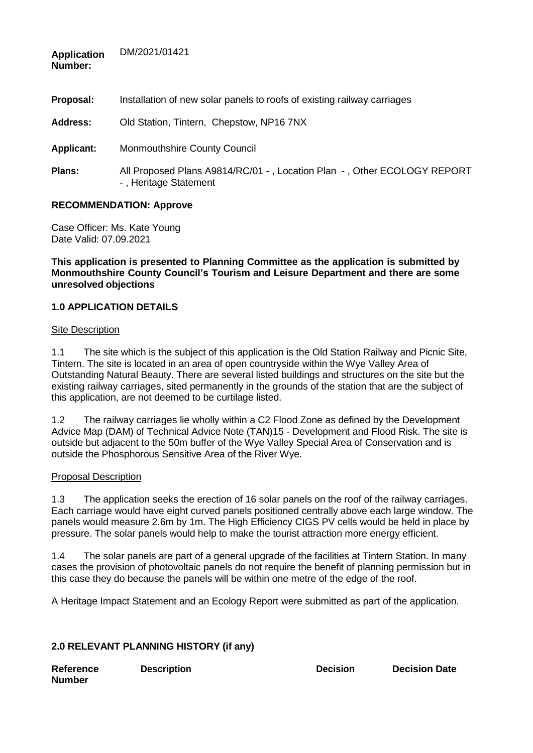| <b>Application</b><br>Number: | DM/2021/01421                                                                                    |
|-------------------------------|--------------------------------------------------------------------------------------------------|
| Proposal:                     | Installation of new solar panels to roofs of existing railway carriages                          |
| <b>Address:</b>               | Old Station, Tintern, Chepstow, NP16 7NX                                                         |
| <b>Applicant:</b>             | Monmouthshire County Council                                                                     |
| Plans:                        | All Proposed Plans A9814/RC/01 -, Location Plan -, Other ECOLOGY REPORT<br>-, Heritage Statement |

### **RECOMMENDATION: Approve**

DM/2021/01421

Case Officer: Ms. Kate Young Date Valid: 07.09.2021

**This application is presented to Planning Committee as the application is submitted by Monmouthshire County Council's Tourism and Leisure Department and there are some unresolved objections**

### **1.0 APPLICATION DETAILS**

#### Site Description

1.1 The site which is the subject of this application is the Old Station Railway and Picnic Site, Tintern. The site is located in an area of open countryside within the Wye Valley Area of Outstanding Natural Beauty. There are several listed buildings and structures on the site but the existing railway carriages, sited permanently in the grounds of the station that are the subject of this application, are not deemed to be curtilage listed.

1.2 The railway carriages lie wholly within a C2 Flood Zone as defined by the Development Advice Map (DAM) of Technical Advice Note (TAN)15 - Development and Flood Risk. The site is outside but adjacent to the 50m buffer of the Wye Valley Special Area of Conservation and is outside the Phosphorous Sensitive Area of the River Wye.

#### Proposal Description

1.3 The application seeks the erection of 16 solar panels on the roof of the railway carriages. Each carriage would have eight curved panels positioned centrally above each large window. The panels would measure 2.6m by 1m. The High Efficiency CIGS PV cells would be held in place by pressure. The solar panels would help to make the tourist attraction more energy efficient.

1.4 The solar panels are part of a general upgrade of the facilities at Tintern Station. In many cases the provision of photovoltaic panels do not require the benefit of planning permission but in this case they do because the panels will be within one metre of the edge of the roof.

A Heritage Impact Statement and an Ecology Report were submitted as part of the application.

# **2.0 RELEVANT PLANNING HISTORY (if any)**

| <b>Reference</b> | <b>Description</b> |
|------------------|--------------------|
| Number           |                    |

**Description Decision Decision Date**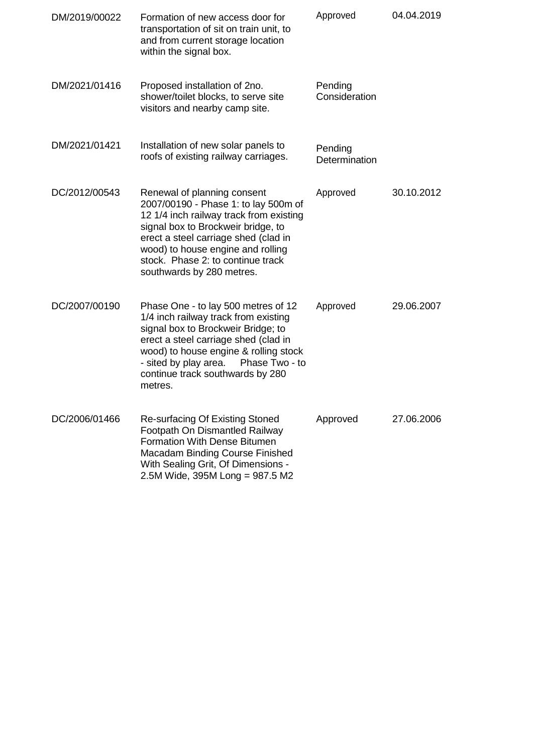| DM/2019/00022 | Formation of new access door for<br>transportation of sit on train unit, to<br>and from current storage location<br>within the signal box.                                                                                                                                                          | Approved                 | 04.04.2019 |
|---------------|-----------------------------------------------------------------------------------------------------------------------------------------------------------------------------------------------------------------------------------------------------------------------------------------------------|--------------------------|------------|
| DM/2021/01416 | Proposed installation of 2no.<br>shower/toilet blocks, to serve site<br>visitors and nearby camp site.                                                                                                                                                                                              | Pending<br>Consideration |            |
| DM/2021/01421 | Installation of new solar panels to<br>roofs of existing railway carriages.                                                                                                                                                                                                                         | Pending<br>Determination |            |
| DC/2012/00543 | Renewal of planning consent<br>2007/00190 - Phase 1: to lay 500m of<br>12 1/4 inch railway track from existing<br>signal box to Brockweir bridge, to<br>erect a steel carriage shed (clad in<br>wood) to house engine and rolling<br>stock. Phase 2: to continue track<br>southwards by 280 metres. | Approved                 | 30.10.2012 |
| DC/2007/00190 | Phase One - to lay 500 metres of 12<br>1/4 inch railway track from existing<br>signal box to Brockweir Bridge; to<br>erect a steel carriage shed (clad in<br>wood) to house engine & rolling stock<br>- sited by play area.<br>Phase Two - to<br>continue track southwards by 280<br>metres.        | Approved                 | 29.06.2007 |
| DC/2006/01466 | <b>Re-surfacing Of Existing Stoned</b><br>Footpath On Dismantled Railway<br><b>Formation With Dense Bitumen</b><br>Macadam Binding Course Finished<br>With Sealing Grit, Of Dimensions -<br>2.5M Wide, 395M Long = 987.5 M2                                                                         | Approved                 | 27.06.2006 |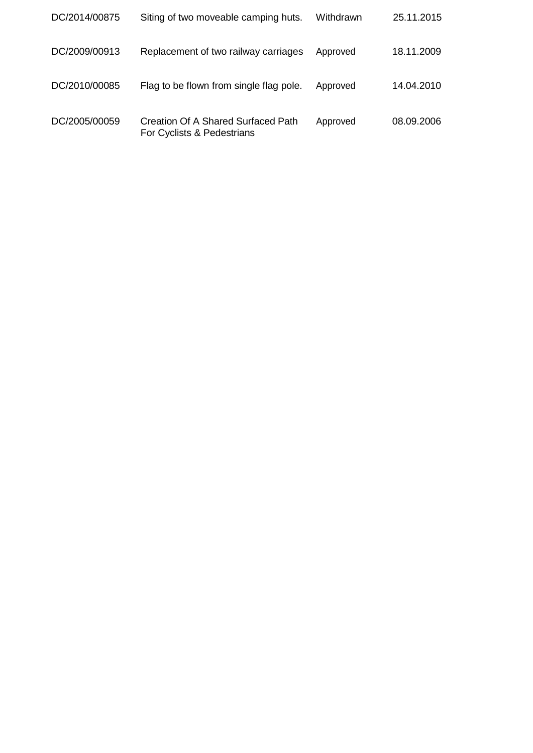| DC/2014/00875 | Siting of two moveable camping huts.                             | Withdrawn | 25.11.2015 |
|---------------|------------------------------------------------------------------|-----------|------------|
| DC/2009/00913 | Replacement of two railway carriages                             | Approved  | 18.11.2009 |
| DC/2010/00085 | Flag to be flown from single flag pole.                          | Approved  | 14.04.2010 |
| DC/2005/00059 | Creation Of A Shared Surfaced Path<br>For Cyclists & Pedestrians | Approved  | 08.09.2006 |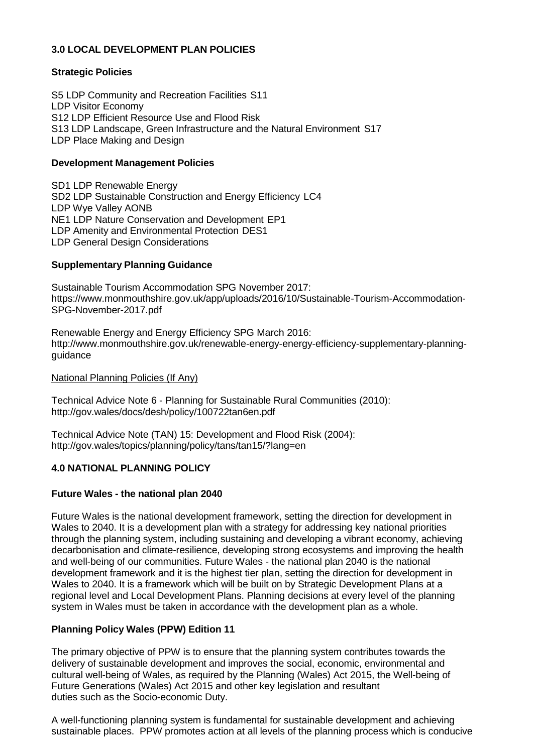## **3.0 LOCAL DEVELOPMENT PLAN POLICIES**

### **Strategic Policies**

S5 LDP Community and Recreation Facilities S11 LDP Visitor Economy S12 LDP Efficient Resource Use and Flood Risk S13 LDP Landscape, Green Infrastructure and the Natural Environment S17 LDP Place Making and Design

### **Development Management Policies**

SD1 LDP Renewable Energy SD2 LDP Sustainable Construction and Energy Efficiency LC4 LDP Wye Valley AONB NE1 LDP Nature Conservation and Development EP1 LDP Amenity and Environmental Protection DES1 LDP General Design Considerations

### **Supplementary Planning Guidance**

Sustainable Tourism Accommodation SPG November 2017: https:/[/www.monmouthshire.gov.uk/app/uploads/2016/10/Sustainable-Tourism-Accommodation-](http://www.monmouthshire.gov.uk/app/uploads/2016/10/Sustainable-Tourism-Accommodation-)SPG-November-2017.pdf

Renewable Energy and Energy Efficiency SPG March 2016: [http://www.monmouthshire.gov.uk/renewable-energy-energy-efficiency-supplementary-planning](http://www.monmouthshire.gov.uk/renewable-energy-energy-efficiency-supplementary-planning-)guidance

#### National Planning Policies (If Any)

Technical Advice Note 6 - Planning for Sustainable Rural Communities (2010): <http://gov.wales/docs/desh/policy/100722tan6en.pdf>

Technical Advice Note (TAN) 15: Development and Flood Risk (2004): <http://gov.wales/topics/planning/policy/tans/tan15/?lang=en>

### **4.0 NATIONAL PLANNING POLICY**

### **Future Wales - the national plan 2040**

Future Wales is the national development framework, setting the direction for development in Wales to 2040. It is a development plan with a strategy for addressing key national priorities through the planning system, including sustaining and developing a vibrant economy, achieving decarbonisation and climate-resilience, developing strong ecosystems and improving the health and well-being of our communities. Future Wales - the national plan 2040 is the national development framework and it is the highest tier plan, setting the direction for development in Wales to 2040. It is a framework which will be built on by Strategic Development Plans at a regional level and Local Development Plans. Planning decisions at every level of the planning system in Wales must be taken in accordance with the development plan as a whole.

### **Planning Policy Wales (PPW) Edition 11**

The primary objective of PPW is to ensure that the planning system contributes towards the delivery of sustainable development and improves the social, economic, environmental and cultural well-being of Wales, as required by the Planning (Wales) Act 2015, the Well-being of Future Generations (Wales) Act 2015 and other key legislation and resultant duties such as the Socio-economic Duty.

A well-functioning planning system is fundamental for sustainable development and achieving sustainable places. PPW promotes action at all levels of the planning process which is conducive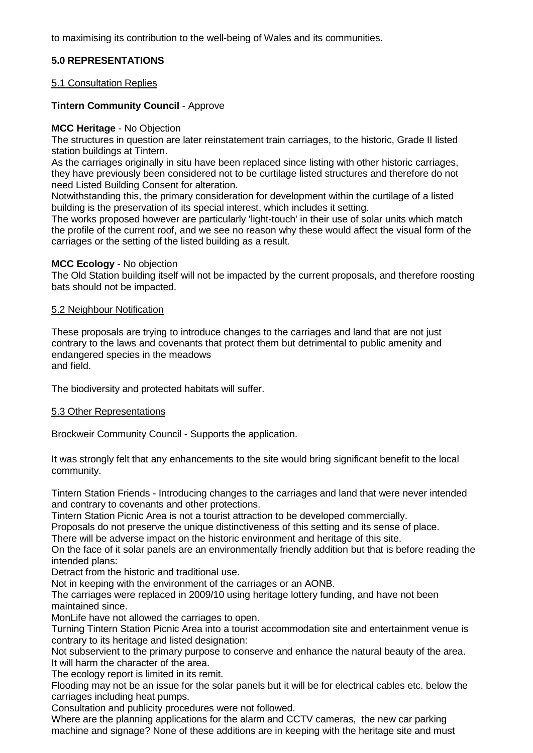to maximising its contribution to the well-being of Wales and its communities.

### **5.0 REPRESENTATIONS**

#### 5.1 Consultation Replies

### **Tintern Community Council** - Approve

#### **MCC Heritage** - No Objection

The structures in question are later reinstatement train carriages, to the historic, Grade II listed station buildings at Tintern.

As the carriages originally in situ have been replaced since listing with other historic carriages, they have previously been considered not to be curtilage listed structures and therefore do not need Listed Building Consent for alteration.

Notwithstanding this, the primary consideration for development within the curtilage of a listed building is the preservation of its special interest, which includes it setting.

The works proposed however are particularly 'light-touch' in their use of solar units which match the profile of the current roof, and we see no reason why these would affect the visual form of the carriages or the setting of the listed building as a result.

#### **MCC Ecology** - No objection

The Old Station building itself will not be impacted by the current proposals, and therefore roosting bats should not be impacted.

#### 5.2 Neighbour Notification

These proposals are trying to introduce changes to the carriages and land that are not just contrary to the laws and covenants that protect them but detrimental to public amenity and endangered species in the meadows and field.

The biodiversity and protected habitats will suffer.

### 5.3 Other Representations

Brockweir Community Council - Supports the application.

It was strongly felt that any enhancements to the site would bring significant benefit to the local community.

Tintern Station Friends - Introducing changes to the carriages and land that were never intended and contrary to covenants and other protections.

Tintern Station Picnic Area is not a tourist attraction to be developed commercially.

Proposals do not preserve the unique distinctiveness of this setting and its sense of place.

There will be adverse impact on the historic environment and heritage of this site.

On the face of it solar panels are an environmentally friendly addition but that is before reading the intended plans:

Detract from the historic and traditional use.

Not in keeping with the environment of the carriages or an AONB.

The carriages were replaced in 2009/10 using heritage lottery funding, and have not been maintained since.

MonLife have not allowed the carriages to open.

Turning Tintern Station Picnic Area into a tourist accommodation site and entertainment venue is contrary to its heritage and listed designation:

Not subservient to the primary purpose to conserve and enhance the natural beauty of the area. It will harm the character of the area.

The ecology report is limited in its remit.

Flooding may not be an issue for the solar panels but it will be for electrical cables etc. below the carriages including heat pumps.

Consultation and publicity procedures were not followed.

Where are the planning applications for the alarm and CCTV cameras, the new car parking machine and signage? None of these additions are in keeping with the heritage site and must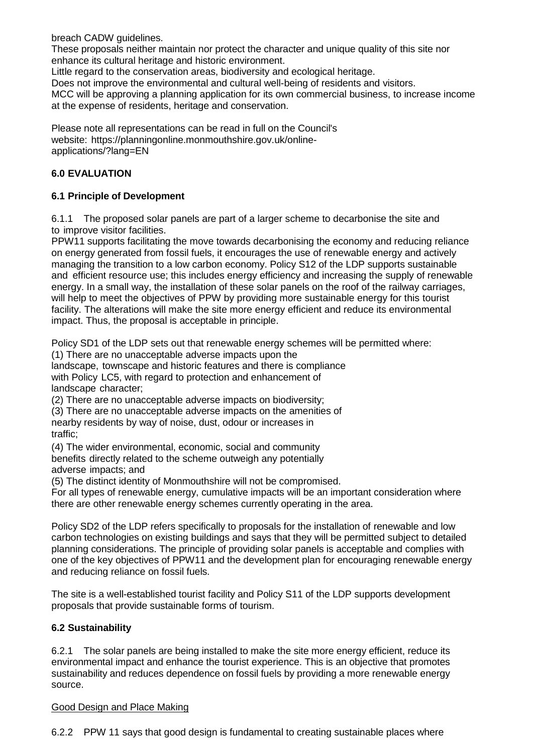breach CADW guidelines.

These proposals neither maintain nor protect the character and unique quality of this site nor enhance its cultural heritage and historic environment.

Little regard to the conservation areas, biodiversity and ecological heritage.

Does not improve the environmental and cultural well-being of residents and visitors.

MCC will be approving a planning application for its own commercial business, to increase income at the expense of residents, heritage and conservation.

Please note all representations can be read in full on the Council's website: https://planningonline.monmouthshire.gov.uk/onlineapplications/?lang=EN

## **6.0 EVALUATION**

### **6.1 Principle of Development**

6.1.1 The proposed solar panels are part of a larger scheme to decarbonise the site and to improve visitor facilities.

PPW11 supports facilitating the move towards decarbonising the economy and reducing reliance on energy generated from fossil fuels, it encourages the use of renewable energy and actively managing the transition to a low carbon economy. Policy S12 of the LDP supports sustainable and efficient resource use; this includes energy efficiency and increasing the supply of renewable energy. In a small way, the installation of these solar panels on the roof of the railway carriages, will help to meet the objectives of PPW by providing more sustainable energy for this tourist facility. The alterations will make the site more energy efficient and reduce its environmental impact. Thus, the proposal is acceptable in principle.

Policy SD1 of the LDP sets out that renewable energy schemes will be permitted where:

(1) There are no unacceptable adverse impacts upon the

landscape, townscape and historic features and there is compliance with Policy LC5, with regard to protection and enhancement of landscape character;

(2) There are no unacceptable adverse impacts on biodiversity;

(3) There are no unacceptable adverse impacts on the amenities of

nearby residents by way of noise, dust, odour or increases in traffic;

(4) The wider environmental, economic, social and community benefits directly related to the scheme outweigh any potentially adverse impacts; and

(5) The distinct identity of Monmouthshire will not be compromised.

For all types of renewable energy, cumulative impacts will be an important consideration where there are other renewable energy schemes currently operating in the area.

Policy SD2 of the LDP refers specifically to proposals for the installation of renewable and low carbon technologies on existing buildings and says that they will be permitted subject to detailed planning considerations. The principle of providing solar panels is acceptable and complies with one of the key objectives of PPW11 and the development plan for encouraging renewable energy and reducing reliance on fossil fuels.

The site is a well-established tourist facility and Policy S11 of the LDP supports development proposals that provide sustainable forms of tourism.

### **6.2 Sustainability**

6.2.1 The solar panels are being installed to make the site more energy efficient, reduce its environmental impact and enhance the tourist experience. This is an objective that promotes sustainability and reduces dependence on fossil fuels by providing a more renewable energy source.

### Good Design and Place Making

6.2.2 PPW 11 says that good design is fundamental to creating sustainable places where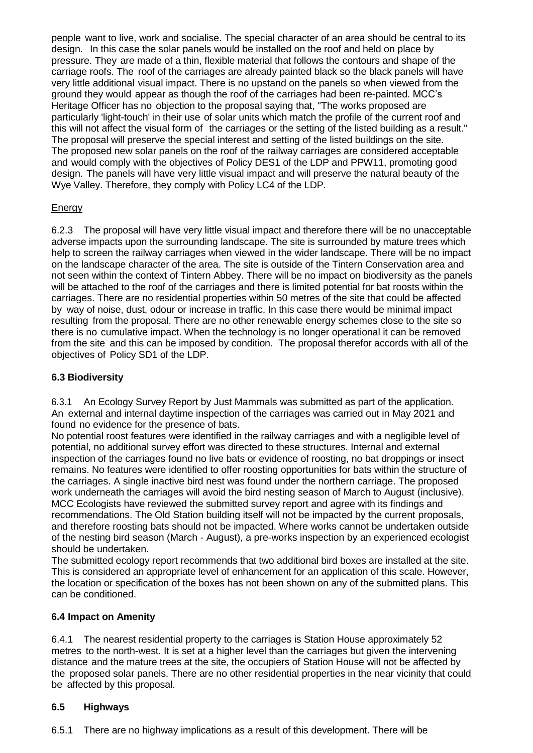people want to live, work and socialise. The special character of an area should be central to its design. In this case the solar panels would be installed on the roof and held on place by pressure. They are made of a thin, flexible material that follows the contours and shape of the carriage roofs. The roof of the carriages are already painted black so the black panels will have very little additional visual impact. There is no upstand on the panels so when viewed from the ground they would appear as though the roof of the carriages had been re-painted. MCC's Heritage Officer has no objection to the proposal saying that, "The works proposed are particularly 'light-touch' in their use of solar units which match the profile of the current roof and this will not affect the visual form of the carriages or the setting of the listed building as a result." The proposal will preserve the special interest and setting of the listed buildings on the site. The proposed new solar panels on the roof of the railway carriages are considered acceptable and would comply with the objectives of Policy DES1 of the LDP and PPW11, promoting good design. The panels will have very little visual impact and will preserve the natural beauty of the Wye Valley. Therefore, they comply with Policy LC4 of the LDP.

# **Energy**

6.2.3 The proposal will have very little visual impact and therefore there will be no unacceptable adverse impacts upon the surrounding landscape. The site is surrounded by mature trees which help to screen the railway carriages when viewed in the wider landscape. There will be no impact on the landscape character of the area. The site is outside of the Tintern Conservation area and not seen within the context of Tintern Abbey. There will be no impact on biodiversity as the panels will be attached to the roof of the carriages and there is limited potential for bat roosts within the carriages. There are no residential properties within 50 metres of the site that could be affected by way of noise, dust, odour or increase in traffic. In this case there would be minimal impact resulting from the proposal. There are no other renewable energy schemes close to the site so there is no cumulative impact. When the technology is no longer operational it can be removed from the site and this can be imposed by condition. The proposal therefor accords with all of the objectives of Policy SD1 of the LDP.

## **6.3 Biodiversity**

6.3.1 An Ecology Survey Report by Just Mammals was submitted as part of the application. An external and internal daytime inspection of the carriages was carried out in May 2021 and found no evidence for the presence of bats.

No potential roost features were identified in the railway carriages and with a negligible level of potential, no additional survey effort was directed to these structures. Internal and external inspection of the carriages found no live bats or evidence of roosting, no bat droppings or insect remains. No features were identified to offer roosting opportunities for bats within the structure of the carriages. A single inactive bird nest was found under the northern carriage. The proposed work underneath the carriages will avoid the bird nesting season of March to August (inclusive). MCC Ecologists have reviewed the submitted survey report and agree with its findings and recommendations. The Old Station building itself will not be impacted by the current proposals, and therefore roosting bats should not be impacted. Where works cannot be undertaken outside of the nesting bird season (March - August), a pre-works inspection by an experienced ecologist should be undertaken.

The submitted ecology report recommends that two additional bird boxes are installed at the site. This is considered an appropriate level of enhancement for an application of this scale. However, the location or specification of the boxes has not been shown on any of the submitted plans. This can be conditioned.

### **6.4 Impact on Amenity**

6.4.1 The nearest residential property to the carriages is Station House approximately 52 metres to the north-west. It is set at a higher level than the carriages but given the intervening distance and the mature trees at the site, the occupiers of Station House will not be affected by the proposed solar panels. There are no other residential properties in the near vicinity that could be affected by this proposal.

# **6.5 Highways**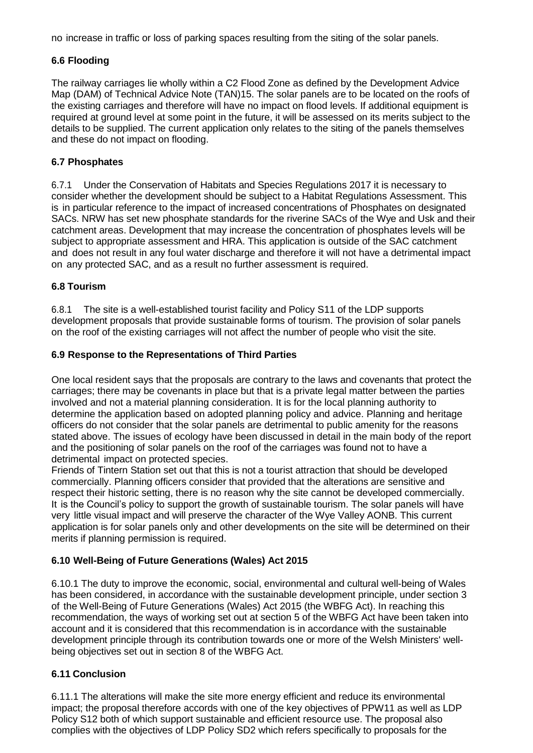no increase in traffic or loss of parking spaces resulting from the siting of the solar panels.

## **6.6 Flooding**

The railway carriages lie wholly within a C2 Flood Zone as defined by the Development Advice Map (DAM) of Technical Advice Note (TAN)15. The solar panels are to be located on the roofs of the existing carriages and therefore will have no impact on flood levels. If additional equipment is required at ground level at some point in the future, it will be assessed on its merits subject to the details to be supplied. The current application only relates to the siting of the panels themselves and these do not impact on flooding.

### **6.7 Phosphates**

6.7.1 Under the Conservation of Habitats and Species Regulations 2017 it is necessary to consider whether the development should be subject to a Habitat Regulations Assessment. This is in particular reference to the impact of increased concentrations of Phosphates on designated SACs. NRW has set new phosphate standards for the riverine SACs of the Wye and Usk and their catchment areas. Development that may increase the concentration of phosphates levels will be subject to appropriate assessment and HRA. This application is outside of the SAC catchment and does not result in any foul water discharge and therefore it will not have a detrimental impact on any protected SAC, and as a result no further assessment is required.

### **6.8 Tourism**

6.8.1 The site is a well-established tourist facility and Policy S11 of the LDP supports development proposals that provide sustainable forms of tourism. The provision of solar panels on the roof of the existing carriages will not affect the number of people who visit the site.

### **6.9 Response to the Representations of Third Parties**

One local resident says that the proposals are contrary to the laws and covenants that protect the carriages; there may be covenants in place but that is a private legal matter between the parties involved and not a material planning consideration. It is for the local planning authority to determine the application based on adopted planning policy and advice. Planning and heritage officers do not consider that the solar panels are detrimental to public amenity for the reasons stated above. The issues of ecology have been discussed in detail in the main body of the report and the positioning of solar panels on the roof of the carriages was found not to have a detrimental impact on protected species.

Friends of Tintern Station set out that this is not a tourist attraction that should be developed commercially. Planning officers consider that provided that the alterations are sensitive and respect their historic setting, there is no reason why the site cannot be developed commercially. It is the Council's policy to support the growth of sustainable tourism. The solar panels will have very little visual impact and will preserve the character of the Wye Valley AONB. This current application is for solar panels only and other developments on the site will be determined on their merits if planning permission is required.

# **6.10 Well-Being of Future Generations (Wales) Act 2015**

6.10.1 The duty to improve the economic, social, environmental and cultural well-being of Wales has been considered, in accordance with the sustainable development principle, under section 3 of the Well-Being of Future Generations (Wales) Act 2015 (the WBFG Act). In reaching this recommendation, the ways of working set out at section 5 of the WBFG Act have been taken into account and it is considered that this recommendation is in accordance with the sustainable development principle through its contribution towards one or more of the Welsh Ministers' wellbeing objectives set out in section 8 of the WBFG Act.

# **6.11 Conclusion**

6.11.1 The alterations will make the site more energy efficient and reduce its environmental impact; the proposal therefore accords with one of the key objectives of PPW11 as well as LDP Policy S12 both of which support sustainable and efficient resource use. The proposal also complies with the objectives of LDP Policy SD2 which refers specifically to proposals for the